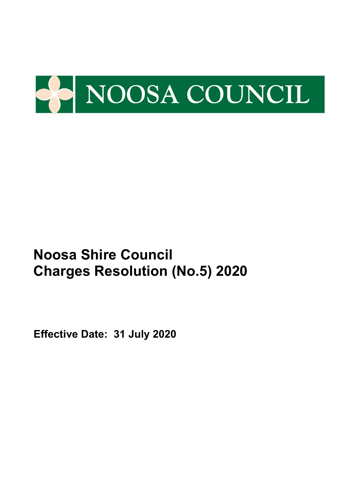

**Effective Date: 31 July 2020**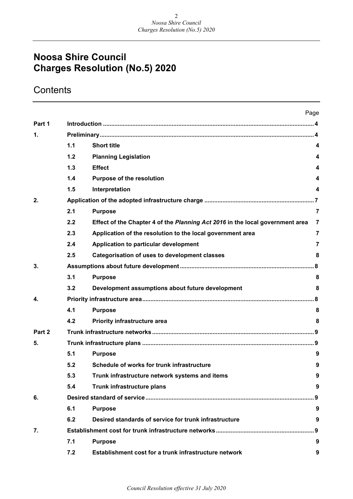## **Contents**

|        |     |                                                                               | Page           |
|--------|-----|-------------------------------------------------------------------------------|----------------|
| Part 1 |     |                                                                               |                |
| 1.     |     |                                                                               |                |
|        | 1.1 | <b>Short title</b>                                                            | 4              |
|        | 1.2 | <b>Planning Legislation</b>                                                   | 4              |
|        | 1.3 | <b>Effect</b>                                                                 | 4              |
|        | 1.4 | Purpose of the resolution                                                     | 4              |
|        | 1.5 | Interpretation                                                                | 4              |
| 2.     |     |                                                                               |                |
|        | 2.1 | <b>Purpose</b>                                                                | $\overline{7}$ |
|        | 2.2 | Effect of the Chapter 4 of the Planning Act 2016 in the local government area | 7              |
|        | 2.3 | Application of the resolution to the local government area                    | $\overline{7}$ |
|        | 2.4 | Application to particular development                                         | $\overline{7}$ |
|        | 2.5 | <b>Categorisation of uses to development classes</b>                          | 8              |
| 3.     |     |                                                                               |                |
|        | 3.1 | <b>Purpose</b>                                                                | 8              |
|        | 3.2 | Development assumptions about future development                              | 8              |
| 4.     |     |                                                                               |                |
|        | 4.1 | <b>Purpose</b>                                                                | 8              |
|        | 4.2 | <b>Priority infrastructure area</b>                                           | 8              |
| Part 2 |     |                                                                               |                |
| 5.     |     |                                                                               |                |
|        | 5.1 | <b>Purpose</b>                                                                | 9              |
|        | 5.2 | Schedule of works for trunk infrastructure                                    | 9              |
|        | 5.3 | Trunk infrastructure network systems and items                                | 9              |
|        | 5.4 | Trunk infrastructure plans                                                    | 9              |
| 6.     |     |                                                                               | . . 9          |
|        | 6.1 | <b>Purpose</b>                                                                | 9              |
|        | 6.2 | Desired standards of service for trunk infrastructure                         | 9              |
| 7.     |     |                                                                               | . 9            |
|        | 7.1 | <b>Purpose</b>                                                                | 9              |
|        | 7.2 | Establishment cost for a trunk infrastructure network                         | 9              |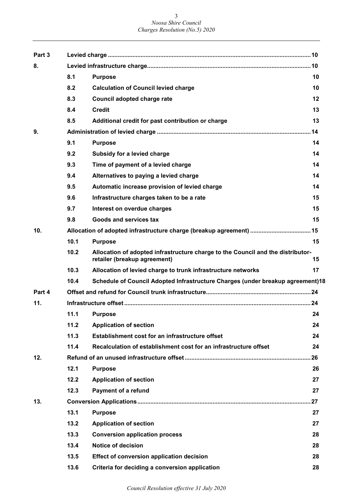| Part 3 |      |                                                                                                                 |    |
|--------|------|-----------------------------------------------------------------------------------------------------------------|----|
| 8.     |      |                                                                                                                 |    |
|        | 8.1  | <b>Purpose</b>                                                                                                  | 10 |
|        | 8.2  | <b>Calculation of Council levied charge</b>                                                                     | 10 |
|        | 8.3  | Council adopted charge rate                                                                                     | 12 |
|        | 8.4  | <b>Credit</b>                                                                                                   | 13 |
|        | 8.5  | Additional credit for past contribution or charge                                                               | 13 |
| 9.     |      |                                                                                                                 |    |
|        | 9.1  | <b>Purpose</b>                                                                                                  | 14 |
|        | 9.2  | Subsidy for a levied charge                                                                                     | 14 |
|        | 9.3  | Time of payment of a levied charge                                                                              | 14 |
|        | 9.4  | Alternatives to paying a levied charge                                                                          | 14 |
|        | 9.5  | Automatic increase provision of levied charge                                                                   | 14 |
|        | 9.6  | Infrastructure charges taken to be a rate                                                                       | 15 |
|        | 9.7  | Interest on overdue charges                                                                                     | 15 |
|        | 9.8  | Goods and services tax                                                                                          | 15 |
| 10.    |      |                                                                                                                 |    |
|        | 10.1 | <b>Purpose</b>                                                                                                  | 15 |
|        | 10.2 | Allocation of adopted infrastructure charge to the Council and the distributor-<br>retailer (breakup agreement) | 15 |
|        | 10.3 | Allocation of levied charge to trunk infrastructure networks                                                    | 17 |
|        | 10.4 | Schedule of Council Adopted Infrastructure Charges (under breakup agreement)18                                  |    |
| Part 4 |      |                                                                                                                 |    |
| 11.    |      |                                                                                                                 |    |
|        |      | 11.1 Purpose                                                                                                    | 24 |
|        | 11.2 | <b>Application of section</b>                                                                                   | 24 |
|        | 11.3 | Establishment cost for an infrastructure offset                                                                 | 24 |
|        | 11.4 | Recalculation of establishment cost for an infrastructure offset                                                | 24 |
| 12.    |      |                                                                                                                 |    |
|        | 12.1 | <b>Purpose</b>                                                                                                  | 26 |
|        | 12.2 | <b>Application of section</b>                                                                                   | 27 |
|        | 12.3 | <b>Payment of a refund</b>                                                                                      | 27 |
| 13.    |      |                                                                                                                 |    |
|        | 13.1 | <b>Purpose</b>                                                                                                  | 27 |
|        | 13.2 | <b>Application of section</b>                                                                                   | 27 |
|        | 13.3 | <b>Conversion application process</b>                                                                           | 28 |
|        | 13.4 | <b>Notice of decision</b>                                                                                       | 28 |
|        | 13.5 | Effect of conversion application decision                                                                       | 28 |
|        | 13.6 | Criteria for deciding a conversion application                                                                  | 28 |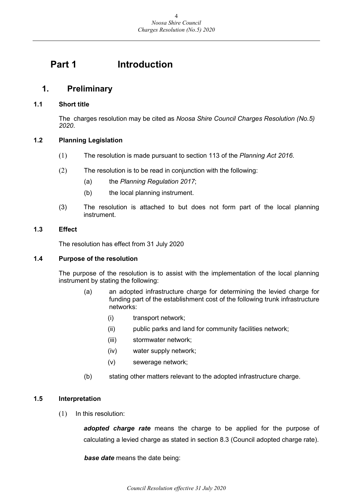## <span id="page-3-0"></span>**Part 1 Introduction**

## <span id="page-3-1"></span>**1. Preliminary**

#### <span id="page-3-2"></span>**1.1 Short title**

The charges resolution may be cited as *Noosa Shire Council Charges Resolution (No.5) 2020*.

#### <span id="page-3-3"></span>**1.2 Planning Legislation**

- (1) The resolution is made pursuant to section 113 of the *Planning Act 2016*.
- (2) The resolution is to be read in conjunction with the following:
	- (a) the *Planning Regulation 2017*;
	- (b) the local planning instrument.
- (3) The resolution is attached to but does not form part of the local planning instrument.

#### <span id="page-3-4"></span>**1.3 Effect**

The resolution has effect from 31 July 2020

#### <span id="page-3-5"></span>**1.4 Purpose of the resolution**

The purpose of the resolution is to assist with the implementation of the local planning instrument by stating the following:

- (a) an adopted infrastructure charge for determining the levied charge for funding part of the establishment cost of the following trunk infrastructure networks:
	- (i) transport network;
	- (ii) public parks and land for community facilities network;
	- (iii) stormwater network;
	- (iv) water supply network;
	- (v) sewerage network;
- (b) stating other matters relevant to the adopted infrastructure charge.

#### <span id="page-3-6"></span>**1.5 Interpretation**

(1) In this resolution:

*adopted charge rate* means the charge to be applied for the purpose of calculating a levied charge as stated in section 8.3 (Council adopted charge rate).

*base date* means the date being: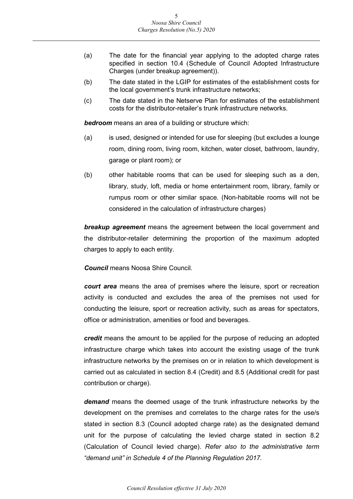- (a) The date for the financial year applying to the adopted charge rates specified in section 10.4 (Schedule of Council Adopted Infrastructure Charges (under breakup agreement)).
- (b) The date stated in the LGIP for estimates of the establishment costs for the local government's trunk infrastructure networks;
- (c) The date stated in the Netserve Plan for estimates of the establishment costs for the distributor-retailer's trunk infrastructure networks.

*bedroom* means an area of a building or structure which:

- (a) is used, designed or intended for use for sleeping (but excludes a lounge room, dining room, living room, kitchen, water closet, bathroom, laundry, garage or plant room); or
- (b) other habitable rooms that can be used for sleeping such as a den, library, study, loft, media or home entertainment room, library, family or rumpus room or other similar space. (Non-habitable rooms will not be considered in the calculation of infrastructure charges)

*breakup agreement* means the agreement between the local government and the distributor-retailer determining the proportion of the maximum adopted charges to apply to each entity.

*Council* means Noosa Shire Council.

*court area* means the area of premises where the leisure, sport or recreation activity is conducted and excludes the area of the premises not used for conducting the leisure, sport or recreation activity, such as areas for spectators, office or administration, amenities or food and beverages.

*credit* means the amount to be applied for the purpose of reducing an adopted infrastructure charge which takes into account the existing usage of the trunk infrastructure networks by the premises on or in relation to which development is carried out as calculated in section 8.4 (Credit) and 8.5 (Additional credit for past contribution or charge).

*demand* means the deemed usage of the trunk infrastructure networks by the development on the premises and correlates to the charge rates for the use/s stated in section 8.3 (Council adopted charge rate) as the designated demand unit for the purpose of calculating the levied charge stated in section 8.2 (Calculation of Council levied charge). *Refer also to the administrative term "demand unit" in Schedule 4 of the Planning Regulation 2017.*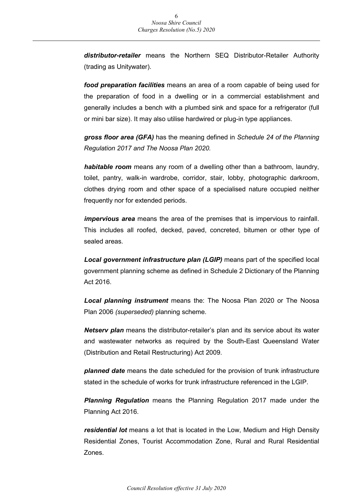*distributor-retailer* means the Northern SEQ Distributor-Retailer Authority (trading as Unitywater).

*food preparation facilities* means an area of a room capable of being used for the preparation of food in a dwelling or in a commercial establishment and generally includes a bench with a plumbed sink and space for a refrigerator (full or mini bar size). It may also utilise hardwired or plug-in type appliances.

*gross floor area (GFA)* has the meaning defined in *Schedule 24 of the Planning Regulation 2017 and The Noosa Plan 2020.*

*habitable room* means any room of a dwelling other than a bathroom, laundry, toilet, pantry, walk-in wardrobe, corridor, stair, lobby, photographic darkroom, clothes drying room and other space of a specialised nature occupied neither frequently nor for extended periods.

*impervious area* means the area of the premises that is impervious to rainfall. This includes all roofed, decked, paved, concreted, bitumen or other type of sealed areas.

*Local government infrastructure plan (LGIP)* means part of the specified local government planning scheme as defined in Schedule 2 Dictionary of the Planning Act 2016.

*Local planning instrument* means the: The Noosa Plan 2020 or The Noosa Plan 2006 *(superseded)* planning scheme.

*Netserv plan* means the distributor-retailer's plan and its service about its water and wastewater networks as required by the South-East Queensland Water (Distribution and Retail Restructuring) Act 2009.

*planned date* means the date scheduled for the provision of trunk infrastructure stated in the schedule of works for trunk infrastructure referenced in the LGIP.

*Planning Regulation* means the Planning Regulation 2017 made under the Planning Act 2016.

*residential lot* means a lot that is located in the Low, Medium and High Density Residential Zones, Tourist Accommodation Zone, Rural and Rural Residential Zones.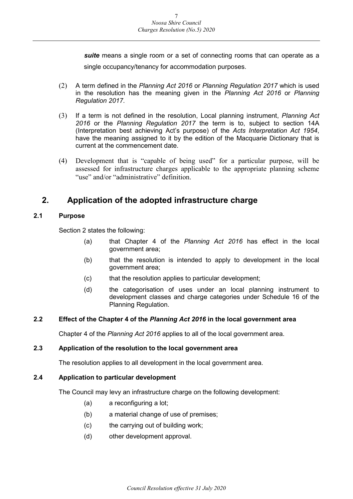*suite* means a single room or a set of connecting rooms that can operate as a single occupancy/tenancy for accommodation purposes.

- (2) A term defined in the *Planning Act 2016* or *Planning Regulation 2017* which is used in the resolution has the meaning given in the *Planning Act 2016* or *Planning Regulation 2017*.
- (3) If a term is not defined in the resolution, Local planning instrument, *Planning Act 2016* or the *Planning Regulation 2017* the term is to, subject to section 14A (Interpretation best achieving Act's purpose) of the *Acts Interpretation Act 1954*, have the meaning assigned to it by the edition of the Macquarie Dictionary that is current at the commencement date.
- (4) Development that is "capable of being used" for a particular purpose, will be assessed for infrastructure charges applicable to the appropriate planning scheme "use" and/or "administrative" definition.

## <span id="page-6-0"></span>**2. Application of the adopted infrastructure charge**

#### <span id="page-6-1"></span>**2.1 Purpose**

Section 2 states the following:

- (a) that Chapter 4 of the *Planning Act 2016* has effect in the local government area;
- (b) that the resolution is intended to apply to development in the local government area;
- (c) that the resolution applies to particular development;
- (d) the categorisation of uses under an local planning instrument to development classes and charge categories under Schedule 16 of the Planning Regulation.

#### <span id="page-6-2"></span>**2.2 Effect of the Chapter 4 of the** *Planning Act 2016* **in the local government area**

Chapter 4 of the *Planning Act 2016* applies to all of the local government area.

#### <span id="page-6-3"></span>**2.3 Application of the resolution to the local government area**

The resolution applies to all development in the local government area.

#### <span id="page-6-4"></span>**2.4 Application to particular development**

The Council may levy an infrastructure charge on the following development:

- (a) a reconfiguring a lot;
- (b) a material change of use of premises;
- (c) the carrying out of building work;
- (d) other development approval.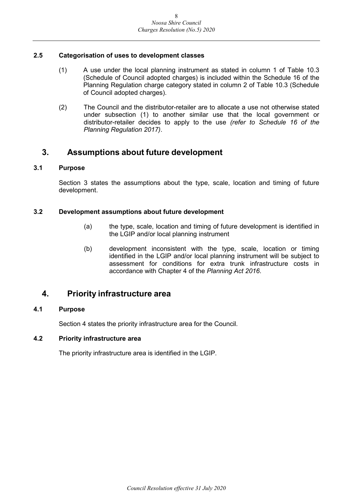#### <span id="page-7-0"></span>**2.5 Categorisation of uses to development classes**

- (1) A use under the local planning instrument as stated in column 1 of Table 10.3 (Schedule of Council adopted charges) is included within the Schedule 16 of the Planning Regulation charge category stated in column 2 of Table 10.3 (Schedule of Council adopted charges).
- (2) The Council and the distributor-retailer are to allocate a use not otherwise stated under subsection (1) to another similar use that the local government or distributor-retailer decides to apply to the use *(refer to Schedule 16 of the Planning Regulation 2017)*.

## <span id="page-7-1"></span>**3. Assumptions about future development**

#### <span id="page-7-2"></span>**3.1 Purpose**

Section 3 states the assumptions about the type, scale, location and timing of future development.

#### <span id="page-7-3"></span>**3.2 Development assumptions about future development**

- (a) the type, scale, location and timing of future development is identified in the LGIP and/or local planning instrument
- (b) development inconsistent with the type, scale, location or timing identified in the LGIP and/or local planning instrument will be subject to assessment for conditions for extra trunk infrastructure costs in accordance with Chapter 4 of the *Planning Act 2016*.

## <span id="page-7-4"></span>**4. Priority infrastructure area**

#### <span id="page-7-5"></span>**4.1 Purpose**

Section 4 states the priority infrastructure area for the Council.

#### <span id="page-7-6"></span>**4.2 Priority infrastructure area**

The priority infrastructure area is identified in the LGIP.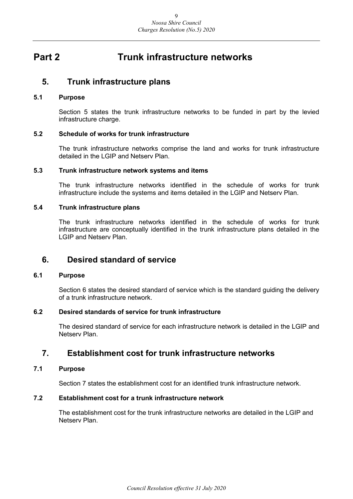## <span id="page-8-0"></span>**Part 2 Trunk infrastructure networks**

### <span id="page-8-1"></span>**5. Trunk infrastructure plans**

#### <span id="page-8-2"></span>**5.1 Purpose**

Section 5 states the trunk infrastructure networks to be funded in part by the levied infrastructure charge.

#### <span id="page-8-3"></span>**5.2 Schedule of works for trunk infrastructure**

The trunk infrastructure networks comprise the land and works for trunk infrastructure detailed in the LGIP and Netserv Plan.

#### <span id="page-8-4"></span>**5.3 Trunk infrastructure network systems and items**

The trunk infrastructure networks identified in the schedule of works for trunk infrastructure include the systems and items detailed in the LGIP and Netserv Plan.

#### <span id="page-8-5"></span>**5.4 Trunk infrastructure plans**

The trunk infrastructure networks identified in the schedule of works for trunk infrastructure are conceptually identified in the trunk infrastructure plans detailed in the LGIP and Netserv Plan.

### <span id="page-8-6"></span>**6. Desired standard of service**

#### <span id="page-8-7"></span>**6.1 Purpose**

Section 6 states the desired standard of service which is the standard guiding the delivery of a trunk infrastructure network.

#### <span id="page-8-8"></span>**6.2 Desired standards of service for trunk infrastructure**

The desired standard of service for each infrastructure network is detailed in the LGIP and Netserv Plan.

## <span id="page-8-9"></span>**7. Establishment cost for trunk infrastructure networks**

#### <span id="page-8-10"></span>**7.1 Purpose**

Section 7 states the establishment cost for an identified trunk infrastructure network.

#### <span id="page-8-11"></span>**7.2 Establishment cost for a trunk infrastructure network**

The establishment cost for the trunk infrastructure networks are detailed in the LGIP and Netserv Plan.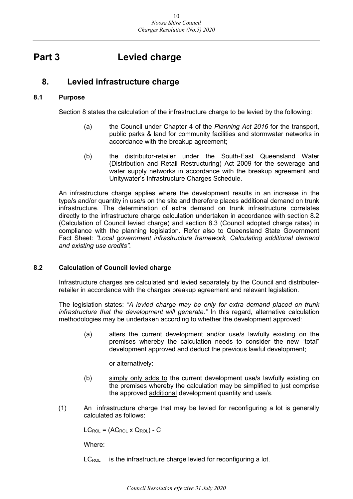## <span id="page-9-0"></span>**Part 3 Levied charge**

## <span id="page-9-1"></span>**8. Levied infrastructure charge**

#### <span id="page-9-2"></span>**8.1 Purpose**

Section 8 states the calculation of the infrastructure charge to be levied by the following:

- (a) the Council under Chapter 4 of the *Planning Act 2016* for the transport, public parks & land for community facilities and stormwater networks in accordance with the breakup agreement;
- (b) the distributor-retailer under the South-East Queensland Water (Distribution and Retail Restructuring) Act 2009 for the sewerage and water supply networks in accordance with the breakup agreement and Unitywater's Infrastructure Charges Schedule.

An infrastructure charge applies where the development results in an increase in the type/s and/or quantity in use/s on the site and therefore places additional demand on trunk infrastructure. The determination of extra demand on trunk infrastructure correlates directly to the infrastructure charge calculation undertaken in accordance with section 8.2 (Calculation of Council levied charge) and section 8.3 (Council adopted charge rates) in compliance with the planning legislation. Refer also to Queensland State Government Fact Sheet: *"Local government infrastructure framework, Calculating additional demand and existing use credits"*.

#### <span id="page-9-3"></span>**8.2 Calculation of Council levied charge**

Infrastructure charges are calculated and levied separately by the Council and distributerretailer in accordance with the charges breakup agreement and relevant legislation.

The legislation states: *"A levied charge may be only for extra demand placed on trunk infrastructure that the development will generate."* In this regard, alternative calculation methodologies may be undertaken according to whether the development approved:

(a) alters the current development and/or use/s lawfully existing on the premises whereby the calculation needs to consider the new "total" development approved and deduct the previous lawful development;

or alternatively:

- (b) simply only adds to the current development use/s lawfully existing on the premises whereby the calculation may be simplified to just comprise the approved additional development quantity and use/s.
- (1) An infrastructure charge that may be levied for reconfiguring a lot is generally calculated as follows:

 $LC_{\text{ROL}} = (AC_{\text{ROL}} \times Q_{\text{ROL}}) - C$ 

Where:

 $LC_{\text{ROI}}$  is the infrastructure charge levied for reconfiguring a lot.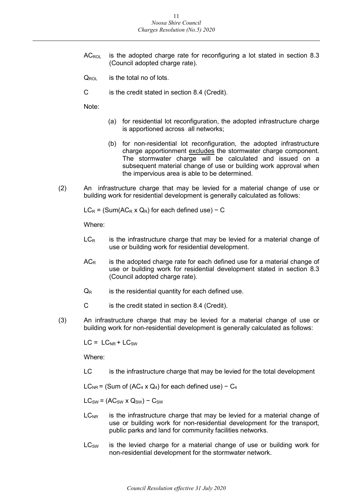- $AC_{\text{ROI}}$  is the adopted charge rate for reconfiguring a lot stated in section 8.3 (Council adopted charge rate).
- $Q_{\text{ROI}}$  is the total no of lots.
- C is the credit stated in section 8.4 (Credit).

Note:

- (a) for residential lot reconfiguration, the adopted infrastructure charge is apportioned across all networks;
- (b) for non-residential lot reconfiguration, the adopted infrastructure charge apportionment excludes the stormwater charge component. The stormwater charge will be calculated and issued on a subsequent material change of use or building work approval when the impervious area is able to be determined.
- (2) An infrastructure charge that may be levied for a material change of use or building work for residential development is generally calculated as follows:

 $LC_R = (Sum(AC_R \times Q_R)$  for each defined use) – C

Where:

- $LC<sub>R</sub>$  is the infrastructure charge that may be levied for a material change of use or building work for residential development.
- $AC<sub>R</sub>$  is the adopted charge rate for each defined use for a material change of use or building work for residential development stated in section 8.3 (Council adopted charge rate).
- $Q_R$  is the residential quantity for each defined use.
- C is the credit stated in section 8.4 (Credit).
- (3) An infrastructure charge that may be levied for a material change of use or building work for non-residential development is generally calculated as follows:

 $LC = LC_{NR} + LC_{SW}$ 

Where:

LC is the infrastructure charge that may be levied for the total development

LC<sub>NR</sub> = (Sum of (AC<sub>4</sub> x Q<sub>4</sub>) for each defined use) – C<sub>4</sub>

 $LC_{SW} = (AC_{SW} \times Q_{SW}) - C_{SW}$ 

- $LC<sub>NR</sub>$  is the infrastructure charge that may be levied for a material change of use or building work for non-residential development for the transport, public parks and land for community facilities networks.
- $LC<sub>SW</sub>$  is the levied charge for a material change of use or building work for non-residential development for the stormwater network.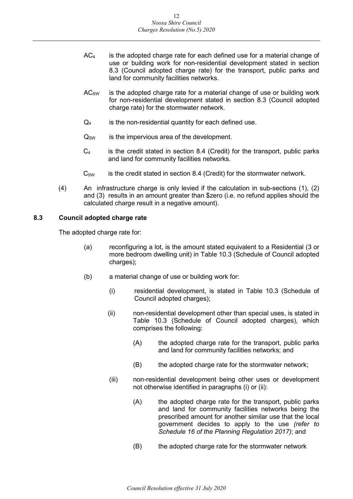- $AC<sub>4</sub>$  is the adopted charge rate for each defined use for a material change of use or building work for non-residential development stated in section 8.3 (Council adopted charge rate) for the transport, public parks and land for community facilities networks.
- $AC<sub>SW</sub>$  is the adopted charge rate for a material change of use or building work for non-residential development stated in section 8.3 (Council adopted charge rate) for the stormwater network.
- $Q_4$  is the non-residential quantity for each defined use.
- $Q_{SW}$  is the impervious area of the development.
- $C_4$  is the credit stated in section 8.4 (Credit) for the transport, public parks and land for community facilities networks.
- $C_{SW}$  is the credit stated in section 8.4 (Credit) for the stormwater network.
- (4) An infrastructure charge is only levied if the calculation in sub-sections (1), (2) and (3) results in an amount greater than \$zero (i.e. no refund applies should the calculated charge result in a negative amount).

#### <span id="page-11-0"></span>**8.3 Council adopted charge rate**

The adopted charge rate for:

- (a) reconfiguring a lot, is the amount stated equivalent to a Residential (3 or more bedroom dwelling unit) in Table 10.3 (Schedule of Council adopted charges);
- (b) a material change of use or building work for:
	- (i) residential development, is stated in Table 10.3 (Schedule of Council adopted charges);
	- (ii) non-residential development other than special uses, is stated in Table 10.3 (Schedule of Council adopted charges), which comprises the following:
		- (A) the adopted charge rate for the transport, public parks and land for community facilities networks; and
		- (B) the adopted charge rate for the stormwater network;
	- (iii) non-residential development being other uses or development not otherwise identified in paragraphs (i) or (ii):
		- (A) the adopted charge rate for the transport, public parks and land for community facilities networks being the prescribed amount for another similar use that the local government decides to apply to the use *(refer to Schedule 16 of the Planning Regulation 2017)*; and
		- (B) the adopted charge rate for the stormwater network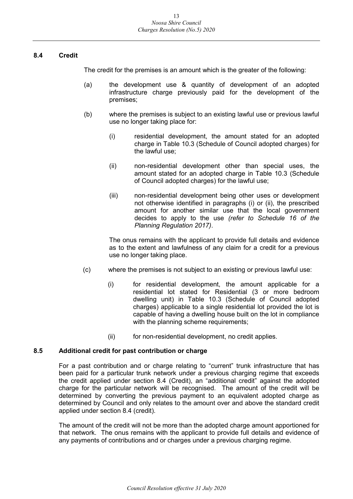#### <span id="page-12-0"></span>**8.4 Credit**

The credit for the premises is an amount which is the greater of the following:

- (a) the development use & quantity of development of an adopted infrastructure charge previously paid for the development of the premises;
- (b) where the premises is subject to an existing lawful use or previous lawful use no longer taking place for:
	- (i) residential development, the amount stated for an adopted charge in Table 10.3 (Schedule of Council adopted charges) for the lawful use;
	- (ii) non-residential development other than special uses, the amount stated for an adopted charge in Table 10.3 (Schedule of Council adopted charges) for the lawful use;
	- (iii) non-residential development being other uses or development not otherwise identified in paragraphs (i) or (ii), the prescribed amount for another similar use that the local government decides to apply to the use *(refer to Schedule 16 of the Planning Regulation 2017)*.

The onus remains with the applicant to provide full details and evidence as to the extent and lawfulness of any claim for a credit for a previous use no longer taking place.

- (c) where the premises is not subject to an existing or previous lawful use:
	- (i) for residential development, the amount applicable for a residential lot stated for Residential (3 or more bedroom dwelling unit) in Table 10.3 (Schedule of Council adopted charges) applicable to a single residential lot provided the lot is capable of having a dwelling house built on the lot in compliance with the planning scheme requirements;
	- (ii) for non-residential development, no credit applies.

#### <span id="page-12-1"></span>**8.5 Additional credit for past contribution or charge**

For a past contribution and or charge relating to "current" trunk infrastructure that has been paid for a particular trunk network under a previous charging regime that exceeds the credit applied under section 8.4 (Credit), an "additional credit" against the adopted charge for the particular network will be recognised. The amount of the credit will be determined by converting the previous payment to an equivalent adopted charge as determined by Council and only relates to the amount over and above the standard credit applied under section 8.4 (credit).

The amount of the credit will not be more than the adopted charge amount apportioned for that network. The onus remains with the applicant to provide full details and evidence of any payments of contributions and or charges under a previous charging regime.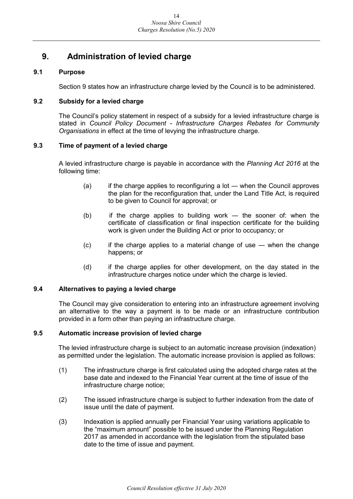## <span id="page-13-0"></span>**9. Administration of levied charge**

#### <span id="page-13-1"></span>**9.1 Purpose**

Section 9 states how an infrastructure charge levied by the Council is to be administered.

#### <span id="page-13-2"></span>**9.2 Subsidy for a levied charge**

The Council's policy statement in respect of a subsidy for a levied infrastructure charge is stated in *Council Policy Document - Infrastructure Charges Rebates for Community Organisations* in effect at the time of levying the infrastructure charge.

#### <span id="page-13-3"></span>**9.3 Time of payment of a levied charge**

A levied infrastructure charge is payable in accordance with the *Planning Act 2016* at the following time:

- $(a)$  if the charge applies to reconfiguring a lot when the Council approves the plan for the reconfiguration that, under the Land Title Act, is required to be given to Council for approval; or
- (b) if the charge applies to building work ― the sooner of: when the certificate of classification or final inspection certificate for the building work is given under the Building Act or prior to occupancy; or
- (c) if the charge applies to a material change of use ― when the change happens; or
- (d) if the charge applies for other development, on the day stated in the infrastructure charges notice under which the charge is levied.

#### <span id="page-13-4"></span>**9.4 Alternatives to paying a levied charge**

The Council may give consideration to entering into an infrastructure agreement involving an alternative to the way a payment is to be made or an infrastructure contribution provided in a form other than paying an infrastructure charge.

#### <span id="page-13-5"></span>**9.5 Automatic increase provision of levied charge**

The levied infrastructure charge is subject to an automatic increase provision (indexation) as permitted under the legislation. The automatic increase provision is applied as follows:

- (1) The infrastructure charge is first calculated using the adopted charge rates at the base date and indexed to the Financial Year current at the time of issue of the infrastructure charge notice;
- (2) The issued infrastructure charge is subject to further indexation from the date of issue until the date of payment.
- (3) Indexation is applied annually per Financial Year using variations applicable to the "maximum amount" possible to be issued under the Planning Regulation 2017 as amended in accordance with the legislation from the stipulated base date to the time of issue and payment.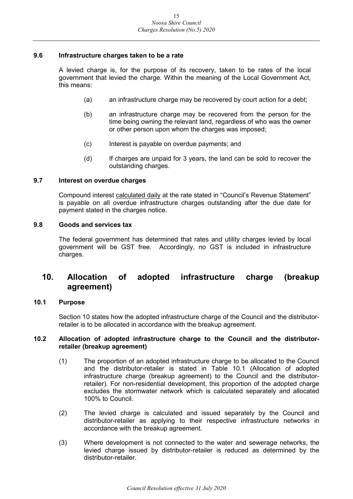#### <span id="page-14-0"></span>**9.6 Infrastructure charges taken to be a rate**

A levied charge is, for the purpose of its recovery, taken to be rates of the local government that levied the charge. Within the meaning of the Local Government Act, this means:

- (a) an infrastructure charge may be recovered by court action for a debt;
- (b) an infrastructure charge may be recovered from the person for the time being owning the relevant land, regardless of who was the owner or other person upon whom the charges was imposed;
- (c) Interest is payable on overdue payments; and
- (d) If charges are unpaid for 3 years, the land can be sold to recover the outstanding charges.

#### <span id="page-14-1"></span>**9.7 Interest on overdue charges**

Compound interest calculated daily at the rate stated in "Council's Revenue Statement" is payable on all overdue infrastructure charges outstanding after the due date for payment stated in the charges notice.

#### <span id="page-14-2"></span>**9.8 Goods and services tax**

The federal government has determined that rates and utility charges levied by local government will be GST free. Accordingly, no GST is included in infrastructure charges.

## <span id="page-14-3"></span>**10. Allocation of adopted infrastructure charge (breakup agreement)**

#### <span id="page-14-4"></span>**10.1 Purpose**

Section 10 states how the adopted infrastructure charge of the Council and the distributorretailer is to be allocated in accordance with the breakup agreement.

#### <span id="page-14-5"></span>**10.2 Allocation of adopted infrastructure charge to the Council and the distributorretailer (breakup agreement)**

- (1) The proportion of an adopted infrastructure charge to be allocated to the Council and the distributor-retailer is stated in Table 10.1 (Allocation of adopted infrastructure charge (breakup agreement) to the Council and the distributorretailer). For non-residential development, this proportion of the adopted charge excludes the stormwater network which is calculated separately and allocated 100% to Council.
- (2) The levied charge is calculated and issued separately by the Council and distributor-retailer as applying to their respective infrastructure networks in accordance with the breakup agreement.
- (3) Where development is not connected to the water and sewerage networks, the levied charge issued by distributor-retailer is reduced as determined by the distributor-retailer.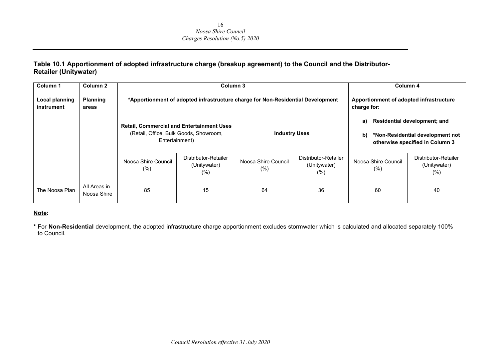#### **Table 10.1 Apportionment of adopted infrastructure charge (breakup agreement) to the Council and the Distributor-Retailer (Unitywater)**

| Column 1                            | Column 2                    |                            | Column 3                                                                                                     |                               |                                                |                                                        | Column 4                                    |                                                                                                            |
|-------------------------------------|-----------------------------|----------------------------|--------------------------------------------------------------------------------------------------------------|-------------------------------|------------------------------------------------|--------------------------------------------------------|---------------------------------------------|------------------------------------------------------------------------------------------------------------|
| <b>Local planning</b><br>instrument | <b>Planning</b><br>areas    |                            | *Apportionment of adopted infrastructure charge for Non-Residential Development                              |                               |                                                | Apportionment of adopted infrastructure<br>charge for: |                                             |                                                                                                            |
|                                     |                             |                            | <b>Retail, Commercial and Entertainment Uses</b><br>(Retail, Office, Bulk Goods, Showroom,<br>Entertainment) | <b>Industry Uses</b>          |                                                | a)<br>b)                                               |                                             | <b>Residential development; and</b><br>*Non-Residential development not<br>otherwise specified in Column 3 |
|                                     |                             | Noosa Shire Council<br>(%) | Distributor-Retailer<br>(Unitywater)<br>(%)                                                                  | Noosa Shire Council<br>$(\%)$ | Distributor-Retailer<br>(Unitywater)<br>$(\%)$ | Noosa Shire Council<br>(% )                            | Distributor-Retailer<br>(Unitywater)<br>(%) |                                                                                                            |
| The Noosa Plan                      | All Areas in<br>Noosa Shire | 85                         | 15                                                                                                           | 64                            | 36                                             | 60                                                     | 40                                          |                                                                                                            |

#### **Note:**

**\*** For **Non-Residential** development, the adopted infrastructure charge apportionment excludes stormwater which is calculated and allocated separately 100% to Council.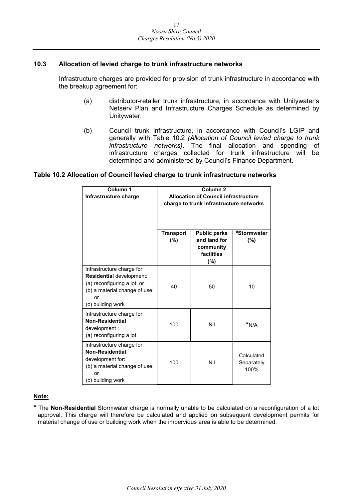#### <span id="page-16-0"></span>**10.3 Allocation of levied charge to trunk infrastructure networks**

Infrastructure charges are provided for provision of trunk infrastructure in accordance with the breakup agreement for:

- (a) distributor-retailer trunk infrastructure, in accordance with Unitywater's Netserv Plan and Infrastructure Charges Schedule as determined by Unitywater.
- (b) Council trunk infrastructure, in accordance with Council's LGIP and generally with Table 10.2 *(Allocation of Council levied charge to trunk infrastructure networks)*. The final allocation and spending of infrastructure charges collected for trunk infrastructure will be determined and administered by Council's Finance Department.

#### **Table 10.2 Allocation of Council levied charge to trunk infrastructure networks**

| Column 1<br>Infrastructure charge                                                                                                                |                         | Column <sub>2</sub><br><b>Allocation of Council infrastructure</b>    |                                  |
|--------------------------------------------------------------------------------------------------------------------------------------------------|-------------------------|-----------------------------------------------------------------------|----------------------------------|
|                                                                                                                                                  |                         | charge to trunk infrastructure networks                               |                                  |
|                                                                                                                                                  |                         |                                                                       |                                  |
|                                                                                                                                                  | <b>Transport</b><br>(%) | <b>Public parks</b><br>and land for<br>community<br>facilities<br>(%) | #Stormwater<br>(%)               |
| Infrastructure charge for<br>Residential development:<br>(a) reconfiguring a lot; or<br>(b) a material change of use;<br>or<br>(c) building work | 40                      | 50                                                                    | 10                               |
| Infrastructure charge for<br><b>Non-Residential</b><br>development :<br>(a) reconfiguring a lot                                                  | 100                     | Nil                                                                   | $*_{N/A}$                        |
| Infrastructure charge for<br><b>Non-Residential</b><br>development for:<br>(b) a material change of use;<br>or<br>(c) building work              | 100                     | Nil                                                                   | Calculated<br>Separately<br>100% |

#### **Note:**

**\*** The **Non-Residential** Stormwater charge is normally unable to be calculated on a reconfiguration of a lot approval. This charge will therefore be calculated and applied on subsequent development permits for material change of use or building work when the impervious area is able to be determined.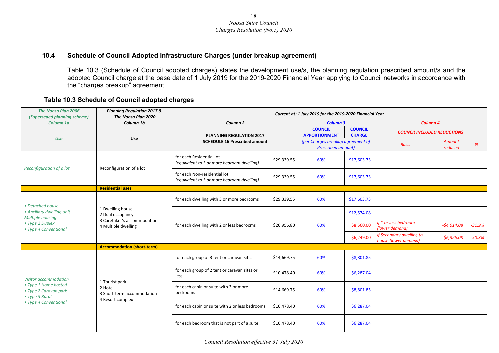#### **10.4 Schedule of Council Adopted Infrastructure Charges (under breakup agreement)**

Table 10.3 (Schedule of Council adopted charges) states the development use/s, the planning regulation prescribed amount/s and the adopted Council charge at the base date of 1 July 2019 for the 2019-2020 Financial Year applying to Council networks in accordance with the "charges breakup" agreement.

#### **Table 10.3 Schedule of Council adopted charges**

<span id="page-17-0"></span>

| <b>The Noosa Plan 2006</b><br>(Superseded planning scheme)      | <b>Planning Regulation 2017 &amp;</b><br>The Noosa Plan 2020                               | Current at: 1 July 2019 for the 2019-2020 Financial Year                   |             |                                                                |                                 |                                                  |                          |          |
|-----------------------------------------------------------------|--------------------------------------------------------------------------------------------|----------------------------------------------------------------------------|-------------|----------------------------------------------------------------|---------------------------------|--------------------------------------------------|--------------------------|----------|
| Column 1a                                                       | Column 1b                                                                                  | Column <sub>2</sub>                                                        |             | <b>Column 3</b>                                                |                                 | Column 4                                         |                          |          |
| <b>Use</b>                                                      | Use                                                                                        | <b>PLANNING REGULATION 2017</b><br><b>SCHEDULE 16 Prescribed amount</b>    |             | <b>COUNCIL</b><br><b>APPORTIONMENT</b>                         | <b>COUNCIL</b><br><b>CHARGE</b> | <b>COUNCIL INCLUDED REDUCTIONS</b>               |                          |          |
|                                                                 |                                                                                            |                                                                            |             | (per Charges breakup agreement of<br><b>Prescribed amount)</b> |                                 | <b>Basis</b>                                     | <b>Amount</b><br>reduced | %        |
| Reconfiguration of a lot                                        | Reconfiguration of a lot                                                                   | for each Residential lot<br>(equivalent to 3 or more bedroom dwelling)     | \$29,339.55 | 60%                                                            | \$17,603.73                     |                                                  |                          |          |
|                                                                 |                                                                                            | for each Non-residential lot<br>(equivalent to 3 or more bedroom dwelling) | \$29,339.55 | 60%                                                            | \$17,603.73                     |                                                  |                          |          |
|                                                                 | <b>Residential uses</b>                                                                    |                                                                            |             |                                                                |                                 |                                                  |                          |          |
| • Detached house                                                |                                                                                            | for each dwelling with 3 or more bedrooms                                  | \$29,339.55 | 60%                                                            | \$17,603.73                     |                                                  |                          |          |
| • Ancillary dwelling unit<br>Multiple housing                   | 1 Dwelling house<br>2 Dual occupancy<br>3 Caretaker's accommodation<br>4 Multiple dwelling | for each dwelling with 2 or less bedrooms                                  |             |                                                                | \$12,574.08                     |                                                  |                          |          |
| • Type 2 Duplex<br>• Type 4 Conventional                        |                                                                                            |                                                                            | \$20,956.80 | 60%                                                            | \$8,560.00                      | if 1 or less bedroom<br>(lower demand)           | $-$4,014.08$             | $-31.9%$ |
|                                                                 |                                                                                            |                                                                            |             |                                                                | \$6,249.00                      | if Secondary dwelling to<br>house (lower demand) | $-56,325.08$             | $-50.3%$ |
|                                                                 | <b>Accommodation (short-term)</b>                                                          |                                                                            |             |                                                                |                                 |                                                  |                          |          |
|                                                                 |                                                                                            | for each group of 3 tent or caravan sites                                  | \$14,669.75 | 60%                                                            | \$8,801.85                      |                                                  |                          |          |
| Visitor accommodation                                           |                                                                                            | for each group of 2 tent or caravan sites or<br>less                       | \$10,478.40 | 60%                                                            | \$6,287.04                      |                                                  |                          |          |
| • Type 1 Home hosted<br>• Type 2 Caravan park<br>• Type 3 Rural | 1 Tourist park<br>2 Hotel<br>3 Short-term accommodation                                    | for each cabin or suite with 3 or more<br>bedrooms                         | \$14,669.75 | 60%                                                            | \$8,801.85                      |                                                  |                          |          |
| • Type 4 Conventional                                           | 4 Resort complex                                                                           | for each cabin or suite with 2 or less bedrooms                            | \$10,478.40 | 60%                                                            | \$6,287.04                      |                                                  |                          |          |
|                                                                 |                                                                                            | for each bedroom that is not part of a suite                               | \$10,478.40 | 60%                                                            | \$6,287.04                      |                                                  |                          |          |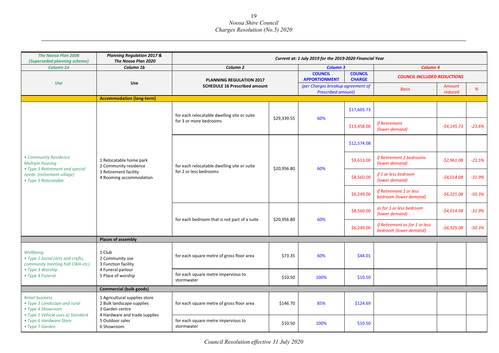| <b>The Noosa Plan 2006</b>                                                                                       | <b>Planning Regulation 2017 &amp;</b>                                                                |                                                                       |             | Current at: 1 July 2019 for the 2019-2020 Financial Year       |                                 |                                                          |                   |          |
|------------------------------------------------------------------------------------------------------------------|------------------------------------------------------------------------------------------------------|-----------------------------------------------------------------------|-------------|----------------------------------------------------------------|---------------------------------|----------------------------------------------------------|-------------------|----------|
| (Superseded planning scheme)<br>Column 1a                                                                        | The Noosa Plan 2020<br>Column 1b                                                                     | Column <sub>2</sub>                                                   |             | <b>Column 3</b>                                                |                                 | Column 4                                                 |                   |          |
|                                                                                                                  |                                                                                                      | <b>PLANNING REGULATION 2017</b>                                       |             | <b>COUNCIL</b><br><b>APPORTIONMENT</b>                         | <b>COUNCIL</b><br><b>CHARGE</b> | <b>COUNCIL INCLUDED REDUCTIONS</b>                       |                   |          |
| <b>Use</b>                                                                                                       | Use                                                                                                  | <b>SCHEDULE 16 Prescribed amount</b>                                  |             | (per Charges breakup agreement of<br><b>Prescribed amount)</b> |                                 | <b>Basis</b>                                             | Amount<br>reduced | %        |
|                                                                                                                  | <b>Accommodation (long-term)</b>                                                                     |                                                                       |             |                                                                |                                 |                                                          |                   |          |
|                                                                                                                  |                                                                                                      | for each relocatable dwelling site or suite                           | \$29,339.55 | 60%                                                            | \$17,603.73                     |                                                          |                   |          |
|                                                                                                                  |                                                                                                      | for 3 or more bedrooms                                                |             |                                                                | \$13,458.00                     | <b>If Retirement</b><br>(lower demand)                   | $-54,145.73$      | $-23.6%$ |
|                                                                                                                  |                                                                                                      | for each relocatable dwelling site or suite<br>for 2 or less bedrooms |             |                                                                | \$12,574.08                     |                                                          |                   |          |
| • Community Residence<br><b>Multiple housing</b>                                                                 | 1 Relocatable home park<br>2 Community residence<br>3 Retirement facility<br>4 Rooming accommodation |                                                                       | \$20,956.80 | 60%                                                            | \$9,613.00                      | if Retirement 2 bedrooms<br>(lower demand)               | $-52,961.08$      | $-23.5%$ |
| • Type 3 Retirement and special<br>needs (retirement village)<br>• Type 5 Relocatable                            |                                                                                                      |                                                                       |             |                                                                | \$8,560.00                      | if 1 or less bedroom<br>(lower demand)                   | $-$4,014.08$      | $-31.9%$ |
|                                                                                                                  |                                                                                                      |                                                                       |             |                                                                | \$6,249.00                      | if Retirement 1 or less<br>bedroom (lower demand)        | $-56,325.08$      | $-50.3%$ |
|                                                                                                                  |                                                                                                      | for each bedroom that is not part of a suite                          | \$20,956.80 |                                                                | \$8,560.00                      | as for 1 or less bedroom<br>(lower demand)               | $-$4,014.08$      | $-31.9%$ |
|                                                                                                                  |                                                                                                      |                                                                       |             | 60%                                                            | \$6,249.00                      | If Retirement as for 1 or less<br>bedroom (lower demand) | $-56,325.08$      | $-50.3%$ |
|                                                                                                                  | <b>Places of assembly</b>                                                                            |                                                                       |             |                                                                |                                 |                                                          |                   |          |
| Wellbeing<br>• Type 2 Social (arts and crafts,<br>community meeting hall CWA etc)                                | 1 Club<br>2 Community use<br>3 Function facility                                                     | for each square metre of gross floor area                             | \$73.35     | 60%                                                            | \$44.01                         |                                                          |                   |          |
| • Type 3 Worship<br>• Type 4 Funeral                                                                             | 4 Funeral parlour<br>5 Place of worship                                                              | for each square metre impervious to<br>stormwater                     | \$10.50     | 100%                                                           | \$10.50                         |                                                          |                   |          |
|                                                                                                                  | <b>Commercial (bulk goods)</b>                                                                       |                                                                       |             |                                                                |                                 |                                                          |                   |          |
| <b>Retail business</b><br>• Type 3 Landscape and rural<br>• Type 4 Showroom<br>· Type 5 Vehicle uses a) Standard | 1 Agricultural supplies store<br>2 Bulk landscape supplies<br>3 Garden centre                        | for each square metre of gross floor area                             | \$146.70    | 85%                                                            | \$124.69                        |                                                          |                   |          |
| • Type 6 Hardware Store<br>• Type 7 Garden                                                                       | 4 Hardware and trade supplies<br>5 Outdoor sales<br>6 Showroom                                       | for each square metre impervious to<br>stormwater                     | \$10.50     | 100%                                                           | \$10.50                         |                                                          |                   |          |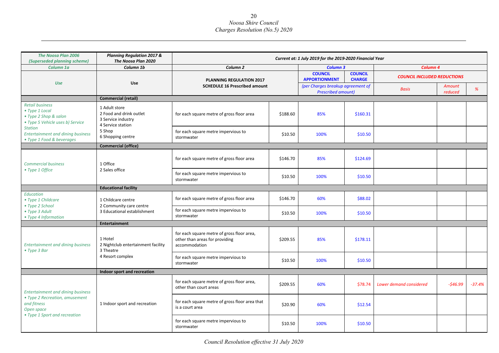| <b>The Noosa Plan 2006</b><br>(Superseded planning scheme)                                            | <b>Planning Regulation 2017 &amp;</b><br>The Noosa Plan 2020                        | Current at: 1 July 2019 for the 2019-2020 Financial Year                                      |          |                                                                |                                 |                                    |                   |          |
|-------------------------------------------------------------------------------------------------------|-------------------------------------------------------------------------------------|-----------------------------------------------------------------------------------------------|----------|----------------------------------------------------------------|---------------------------------|------------------------------------|-------------------|----------|
| Column 1a                                                                                             | Column 1b                                                                           | Column <sub>2</sub>                                                                           |          | <b>Column 3</b>                                                |                                 | Column <sub>4</sub>                |                   |          |
| <b>Use</b>                                                                                            |                                                                                     | <b>PLANNING REGULATION 2017</b><br><b>Use</b><br><b>SCHEDULE 16 Prescribed amount</b>         |          | <b>COUNCIL</b><br><b>APPORTIONMENT</b>                         | <b>COUNCIL</b><br><b>CHARGE</b> | <b>COUNCIL INCLUDED REDUCTIONS</b> |                   |          |
|                                                                                                       |                                                                                     |                                                                                               |          | (per Charges breakup agreement of<br><b>Prescribed amount)</b> |                                 | <b>Basis</b>                       | Amount<br>reduced | %        |
|                                                                                                       | <b>Commercial (retail)</b>                                                          |                                                                                               |          |                                                                |                                 |                                    |                   |          |
| <b>Retail business</b><br>• Type 1 Local<br>• Type 2 Shop & salon<br>• Type 5 Vehicle uses b) Service | 1 Adult store<br>2 Food and drink outlet<br>3 Service industry<br>4 Service station | for each square metre of gross floor area                                                     | \$188.60 | 85%                                                            | \$160.31                        |                                    |                   |          |
| <b>Station</b><br><b>Entertainment and dining business</b><br>• Type 1 Food & beverages               | 5 Shop<br>6 Shopping centre                                                         | for each square metre impervious to<br>stormwater                                             | \$10.50  | 100%                                                           | \$10.50                         |                                    |                   |          |
|                                                                                                       | <b>Commercial (office)</b>                                                          |                                                                                               |          |                                                                |                                 |                                    |                   |          |
| <b>Commercial business</b><br>• Type 1 Office                                                         | 1 Office                                                                            | for each square metre of gross floor area                                                     | \$146.70 | 85%                                                            | \$124.69                        |                                    |                   |          |
|                                                                                                       | 2 Sales office                                                                      | for each square metre impervious to<br>stormwater                                             | \$10.50  | 100%                                                           | \$10.50                         |                                    |                   |          |
|                                                                                                       | <b>Educational facility</b>                                                         |                                                                                               |          |                                                                |                                 |                                    |                   |          |
| Education<br>• Type 1 Childcare<br>• Type 2 School                                                    | 1 Childcare centre<br>2 Community care centre                                       | for each square metre of gross floor area                                                     | \$146.70 | 60%                                                            | \$88.02                         |                                    |                   |          |
| • Type 3 Adult<br>• Type 4 Information                                                                | 3 Educational establishment                                                         | for each square metre impervious to<br>stormwater                                             | \$10.50  | 100%                                                           | \$10.50                         |                                    |                   |          |
|                                                                                                       | <b>Entertainment</b>                                                                |                                                                                               |          |                                                                |                                 |                                    |                   |          |
| <b>Entertainment and dining business</b><br>• Type 3 Bar                                              | 1 Hotel<br>2 Nightclub entertainment facility<br>3 Theatre                          | for each square metre of gross floor area,<br>other than areas for providing<br>accommodation | \$209.55 | 85%                                                            | \$178.11                        |                                    |                   |          |
|                                                                                                       | 4 Resort complex                                                                    | for each square metre impervious to<br>stormwater                                             | \$10.50  | 100%                                                           | \$10.50                         |                                    |                   |          |
|                                                                                                       | Indoor sport and recreation                                                         |                                                                                               |          |                                                                |                                 |                                    |                   |          |
| <b>Entertainment and dining business</b>                                                              |                                                                                     | for each square metre of gross floor area,<br>other than court areas                          | \$209.55 | 60%                                                            | \$78.74                         | Lower demand considered            | $-546.99$         | $-37.4%$ |
| • Type 2 Recreation, amusement<br>and fitness<br>Open space<br>• Type 1 Sport and recreation          | 1 Indoor sport and recreation                                                       | for each square metre of gross floor area that<br>is a court area                             | \$20.90  | 60%                                                            | \$12.54                         |                                    |                   |          |
|                                                                                                       |                                                                                     | for each square metre impervious to<br>stormwater                                             | \$10.50  | 100%                                                           | \$10.50                         |                                    |                   |          |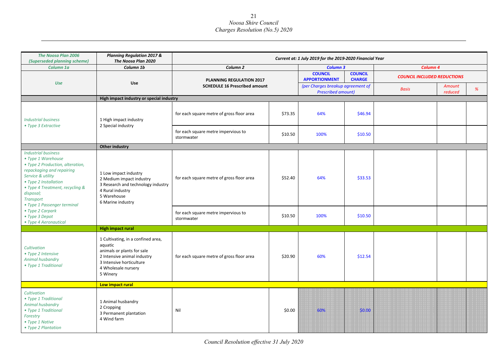| <b>The Noosa Plan 2006</b><br>(Superseded planning scheme)                                                                                                                                                                                                         | <b>Planning Regulation 2017 &amp;</b><br>The Noosa Plan 2020                                                                                                              |                                                   |         | Current at: 1 July 2019 for the 2019-2020 Financial Year       |                                 |                                    |                   |   |
|--------------------------------------------------------------------------------------------------------------------------------------------------------------------------------------------------------------------------------------------------------------------|---------------------------------------------------------------------------------------------------------------------------------------------------------------------------|---------------------------------------------------|---------|----------------------------------------------------------------|---------------------------------|------------------------------------|-------------------|---|
| Column 1a                                                                                                                                                                                                                                                          | Column 1b                                                                                                                                                                 | Column <sub>2</sub>                               |         | <b>Column 3</b>                                                |                                 | Column 4                           |                   |   |
|                                                                                                                                                                                                                                                                    |                                                                                                                                                                           | <b>PLANNING REGULATION 2017</b>                   |         | <b>COUNCIL</b><br><b>APPORTIONMENT</b>                         | <b>COUNCIL</b><br><b>CHARGE</b> | <b>COUNCIL INCLUDED REDUCTIONS</b> |                   |   |
| Use                                                                                                                                                                                                                                                                | Use                                                                                                                                                                       | <b>SCHEDULE 16 Prescribed amount</b>              |         | (per Charges breakup agreement of<br><b>Prescribed amount)</b> |                                 | <b>Basis</b>                       | Amount<br>reduced | % |
|                                                                                                                                                                                                                                                                    | High impact industry or special industry                                                                                                                                  |                                                   |         |                                                                |                                 |                                    |                   |   |
| <b>Industrial business</b><br>• Type 3 Extractive                                                                                                                                                                                                                  | 1 High impact industry<br>2 Special industry                                                                                                                              | for each square metre of gross floor area         | \$73.35 | 64%                                                            | \$46.94                         |                                    |                   |   |
|                                                                                                                                                                                                                                                                    |                                                                                                                                                                           | for each square metre impervious to<br>stormwater | \$10.50 | 100%                                                           | \$10.50                         |                                    |                   |   |
|                                                                                                                                                                                                                                                                    | Other industry                                                                                                                                                            |                                                   |         |                                                                |                                 |                                    |                   |   |
| <b>Industrial business</b><br>• Type 1 Warehouse<br>• Type 2 Production, alteration,<br>repackaging and repairing<br>Service & utility<br>• Type 2 Installation<br>• Type 4 Treatment, recycling &<br>disposal;<br><b>Transport</b><br>• Type 1 Passenger terminal | 1 Low impact industry<br>2 Medium impact industry<br>3 Research and technology industry<br>4 Rural industry<br>5 Warehouse<br>6 Marine industry                           | for each square metre of gross floor area         | \$52.40 | 64%                                                            | \$33.53                         |                                    |                   |   |
| • Type 2 Carpark<br>• Type 3 Depot<br>• Type 4 Aeronautical                                                                                                                                                                                                        |                                                                                                                                                                           | for each square metre impervious to<br>stormwater | \$10.50 | 100%                                                           | \$10.50                         |                                    |                   |   |
|                                                                                                                                                                                                                                                                    | <b>High impact rural</b>                                                                                                                                                  |                                                   |         |                                                                |                                 |                                    |                   |   |
| Cultivation<br>• Type 2 Intensive<br>Animal husbandry<br>• Type 1 Traditional                                                                                                                                                                                      | 1 Cultivating, in a confined area,<br>aquatic<br>animals or plants for sale<br>2 Intensive animal industry<br>3 Intensive horticulture<br>4 Wholesale nursery<br>5 Winery | for each square metre of gross floor area         | \$20.90 | 60%                                                            | \$12.54                         |                                    |                   |   |
|                                                                                                                                                                                                                                                                    | Low impact rural                                                                                                                                                          |                                                   |         |                                                                |                                 |                                    |                   |   |
| Cultivation<br>• Type 1 Traditional<br>Animal husbandry<br>• Type 1 Traditional<br>Forestry<br>• Type 1 Native<br>• Type 2 Plantation                                                                                                                              | 1 Animal husbandry<br>2 Cropping<br>3 Permanent plantation<br>4 Wind farm                                                                                                 | Nil                                               | \$0.00  | 60%                                                            | \$0.00                          |                                    |                   |   |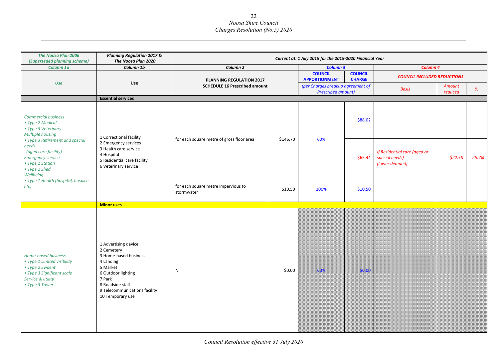| The Noosa Plan 2006<br>(Superseded planning scheme)                                                                                                                                          | <b>Planning Regulation 2017 &amp;</b><br>The Noosa Plan 2020                                                                                                                                  |                                                   |          | Current at: 1 July 2019 for the 2019-2020 Financial Year       |                                 |                                                                  |                   |          |
|----------------------------------------------------------------------------------------------------------------------------------------------------------------------------------------------|-----------------------------------------------------------------------------------------------------------------------------------------------------------------------------------------------|---------------------------------------------------|----------|----------------------------------------------------------------|---------------------------------|------------------------------------------------------------------|-------------------|----------|
| Column 1a                                                                                                                                                                                    | Column 1b                                                                                                                                                                                     | Column <sub>2</sub>                               |          | <b>Column 3</b>                                                |                                 | Column 4                                                         |                   |          |
|                                                                                                                                                                                              |                                                                                                                                                                                               | PLANNING REGULATION 2017                          |          | <b>COUNCIL</b><br><b>APPORTIONMENT</b>                         | <b>COUNCIL</b><br><b>CHARGE</b> | <b>COUNCIL INCLUDED REDUCTIONS</b>                               |                   |          |
| Use                                                                                                                                                                                          | Use                                                                                                                                                                                           | <b>SCHEDULE 16 Prescribed amount</b>              |          | (per Charges breakup agreement of<br><b>Prescribed amount)</b> |                                 | <b>Basis</b>                                                     | Amount<br>reduced | %        |
|                                                                                                                                                                                              | <b>Essential services</b>                                                                                                                                                                     |                                                   |          |                                                                |                                 |                                                                  |                   |          |
| <b>Commercial business</b><br>• Type 2 Medical<br>• Type 3 Veterinary<br>Multiple housing                                                                                                    | 1 Correctional facility                                                                                                                                                                       |                                                   | \$146.70 | 60%                                                            | \$88.02                         |                                                                  |                   |          |
| • Type 3 Retirement and special<br>needs<br>(aged care facility)<br><b>Emergency service</b><br>• Type 1 Station<br>• Type 2 Shed<br>Wellbeing<br>• Type 1 Health (hospital, hospice<br>etc) | 2 Emergency services<br>3 Health care service<br>4 Hospital<br>5 Residential care facility<br>6 Veterinary service                                                                            | for each square metre of gross floor area         |          |                                                                | \$65.44                         | If Residential care (aged or<br>special needs)<br>(lower demand) | $-522.58$         | $-25.7%$ |
|                                                                                                                                                                                              |                                                                                                                                                                                               | for each square metre impervious to<br>stormwater | \$10.50  | 100%                                                           | \$10.50                         |                                                                  |                   |          |
|                                                                                                                                                                                              | <b>Minor uses</b>                                                                                                                                                                             |                                                   |          |                                                                |                                 |                                                                  |                   |          |
| Home-based business<br>• Type 1 Limited visibility<br>• Type 2 Evident<br>• Type 3 Significant scale<br>Service & utility<br>• Type 3 Tower                                                  | 1 Advertising device<br>2 Cemetery<br>3 Home-based business<br>4 Landing<br>5 Market<br>6 Outdoor lighting<br>7 Park<br>8 Roadside stall<br>9 Telecommunications facility<br>10 Temporary use | Nil                                               | \$0.00   | 60%                                                            | \$0.00                          |                                                                  |                   |          |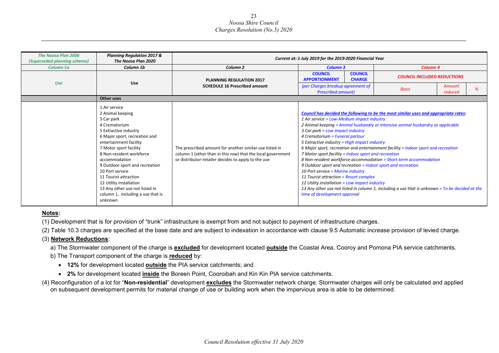| <b>The Noosa Plan 2006</b><br>(Superseded planning scheme) | <b>Planning Regulation 2017 &amp;</b><br>The Noosa Plan 2020                                                                                                                                                                                                                                                                                                                                                           |                                                                                                                                                                               | Current at: 1 July 2019 for the 2019-2020 Financial Year                                                                                                                                                                                                                                                                                                                                                                                                                                                                       |                                                                                                                                                                                                                                                                                                                                                                  |
|------------------------------------------------------------|------------------------------------------------------------------------------------------------------------------------------------------------------------------------------------------------------------------------------------------------------------------------------------------------------------------------------------------------------------------------------------------------------------------------|-------------------------------------------------------------------------------------------------------------------------------------------------------------------------------|--------------------------------------------------------------------------------------------------------------------------------------------------------------------------------------------------------------------------------------------------------------------------------------------------------------------------------------------------------------------------------------------------------------------------------------------------------------------------------------------------------------------------------|------------------------------------------------------------------------------------------------------------------------------------------------------------------------------------------------------------------------------------------------------------------------------------------------------------------------------------------------------------------|
| Column 1a                                                  | Column 1b                                                                                                                                                                                                                                                                                                                                                                                                              | Column <sub>2</sub>                                                                                                                                                           | <b>Column 3</b>                                                                                                                                                                                                                                                                                                                                                                                                                                                                                                                | Column <sub>4</sub>                                                                                                                                                                                                                                                                                                                                              |
| <b>Use</b>                                                 |                                                                                                                                                                                                                                                                                                                                                                                                                        | <b>PLANNING REGULATION 2017</b>                                                                                                                                               | <b>COUNCIL</b><br><b>COUNCIL</b><br><b>APPORTIONMENT</b><br><b>CHARGE</b>                                                                                                                                                                                                                                                                                                                                                                                                                                                      | <b>COUNCIL INCLUDED REDUCTIONS</b>                                                                                                                                                                                                                                                                                                                               |
|                                                            | <b>Use</b>                                                                                                                                                                                                                                                                                                                                                                                                             | <b>SCHEDULE 16 Prescribed amount</b>                                                                                                                                          | (per Charges breakup agreement of<br><b>Prescribed amount)</b>                                                                                                                                                                                                                                                                                                                                                                                                                                                                 | Amount<br><b>Basis</b><br>reduced                                                                                                                                                                                                                                                                                                                                |
|                                                            | Other uses                                                                                                                                                                                                                                                                                                                                                                                                             |                                                                                                                                                                               |                                                                                                                                                                                                                                                                                                                                                                                                                                                                                                                                |                                                                                                                                                                                                                                                                                                                                                                  |
|                                                            | 1 Air service<br>2 Animal keeping<br>3 Car park<br>4 Crematorium<br>5 Extractive industry<br>6 Major sport, recreation and<br>entertainment facility<br>7 Motor sport facility<br>8 Non-resident workforce<br>accommodation<br>9 Outdoor sport and recreation<br>10 Port service<br>11 Tourist attraction<br>12 Utility installation<br>13 Any other use not listed in<br>column 1, including a use that is<br>unknown | The prescribed amount for another similar use listed in<br>column 1 (other than in this row) that the local government<br>or distributor-retailer decides to apply to the use | 1 Air service = Low-Medium impact industry<br>3 Car park = Low impact industry<br>4 Crematorium = Funeral parlour<br>5 Extractive industry = High impact industry<br>7 Motor sport facility = Indoor sport and recreation<br>8 Non-resident workforce accommodation = Short-term accommodation<br>9 Outdoor sport and recreation = Indoor sport and recreation<br>10 Port service = Marine industry<br>11 Tourist attraction = Resort complex<br>12 Utility installation = Low impact industry<br>time of development approval | Council has decided the following to be the most similar uses and appropriate rates:<br>2 Animal keeping = Animal husbandry or Intensive animal husbandry as applicable<br>6 Major sport, recreation and entertainment facility = Indoor sport and recreation<br>13 Any other use not listed in column 1, including a use that is unknown = To be decided at the |

#### **Notes:**

(1) Development that is for provision of "trunk" infrastructure is exempt from and not subject to payment of infrastructure charges.

(2) Table 10.3 charges are specified at the base date and are subject to indexation in accordance with clause 9.5 Automatic increase provision of levied charge.

#### (3) **Network Reductions**:

a) The Stormwater component of the charge is **excluded** for development located **outside** the Coastal Area, Cooroy and Pomona PIA service catchments.

- b) The Transport component of the charge is **reduced** by:
	- **12%** for development located **outside** the PIA service catchments; and
	- **2%** for development located **inside** the Boreen Point, Cooroibah and Kin Kin PIA service catchments.
- (4) Reconfiguration of a lot for "**Non-residential**" development **excludes** the Stormwater network charge. Stormwater charges will only be calculated and applied on subsequent development permits for material change of use or building work when the impervious area is able to be determined.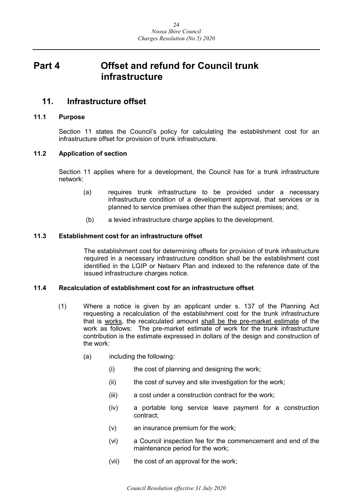## <span id="page-23-0"></span>**Part 4 Offset and refund for Council trunk infrastructure**

## <span id="page-23-1"></span>**11. Infrastructure offset**

#### <span id="page-23-2"></span>**11.1 Purpose**

Section 11 states the Council's policy for calculating the establishment cost for an infrastructure offset for provision of trunk infrastructure.

#### <span id="page-23-3"></span>**11.2 Application of section**

Section 11 applies where for a development, the Council has for a trunk infrastructure network:

- (a) requires trunk infrastructure to be provided under a necessary infrastructure condition of a development approval, that services or is planned to service premises other than the subject premises; and;
- (b) a levied infrastructure charge applies to the development.

#### <span id="page-23-4"></span>**11.3 Establishment cost for an infrastructure offset**

The establishment cost for determining offsets for provision of trunk infrastructure required in a necessary infrastructure condition shall be the establishment cost identified in the LGIP or Netserv Plan and indexed to the reference date of the issued infrastructure charges notice.

#### <span id="page-23-5"></span>**11.4 Recalculation of establishment cost for an infrastructure offset**

- (1) Where a notice is given by an applicant under s. 137 of the Planning Act requesting a recalculation of the establishment cost for the trunk infrastructure that is works, the recalculated amount shall be the pre-market estimate of the work as follows: The pre-market estimate of work for the trunk infrastructure contribution is the estimate expressed in dollars of the design and construction of the work:
	- (a) including the following:
		- (i) the cost of planning and designing the work;
		- (ii) the cost of survey and site investigation for the work;
		- (iii) a cost under a construction contract for the work;
		- (iv) a portable long service leave payment for a construction contract;
		- (v) an insurance premium for the work;
		- (vi) a Council inspection fee for the commencement and end of the maintenance period for the work;
		- (vii) the cost of an approval for the work;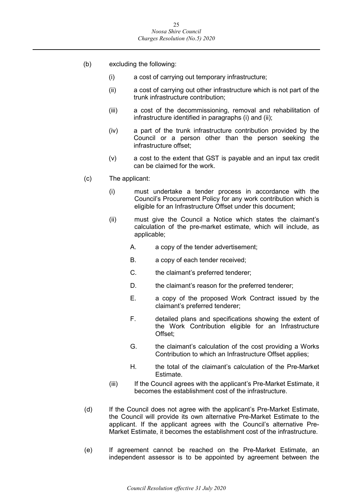- (b) excluding the following:
	- (i) a cost of carrying out temporary infrastructure;
	- (ii) a cost of carrying out other infrastructure which is not part of the trunk infrastructure contribution;
	- (iii) a cost of the decommissioning, removal and rehabilitation of infrastructure identified in paragraphs (i) and (ii);
	- (iv) a part of the trunk infrastructure contribution provided by the Council or a person other than the person seeking the infrastructure offset;
	- (v) a cost to the extent that GST is payable and an input tax credit can be claimed for the work.
- (c) The applicant:
	- (i) must undertake a tender process in accordance with the Council's Procurement Policy for any work contribution which is eligible for an Infrastructure Offset under this document;
	- (ii) must give the Council a Notice which states the claimant's calculation of the pre-market estimate, which will include, as applicable;
		- A. a copy of the tender advertisement;
		- B. a copy of each tender received;
		- C. the claimant's preferred tenderer;
		- D. the claimant's reason for the preferred tenderer;
		- E. a copy of the proposed Work Contract issued by the claimant's preferred tenderer;
		- F. detailed plans and specifications showing the extent of the Work Contribution eligible for an Infrastructure Offset;
		- G. the claimant's calculation of the cost providing a Works Contribution to which an Infrastructure Offset applies;
		- H. the total of the claimant's calculation of the Pre-Market Estimate.
	- (iii) If the Council agrees with the applicant's Pre-Market Estimate, it becomes the establishment cost of the infrastructure.
- (d) If the Council does not agree with the applicant's Pre-Market Estimate, the Council will provide its own alternative Pre-Market Estimate to the applicant. If the applicant agrees with the Council's alternative Pre-Market Estimate, it becomes the establishment cost of the infrastructure.
- (e) If agreement cannot be reached on the Pre-Market Estimate, an independent assessor is to be appointed by agreement between the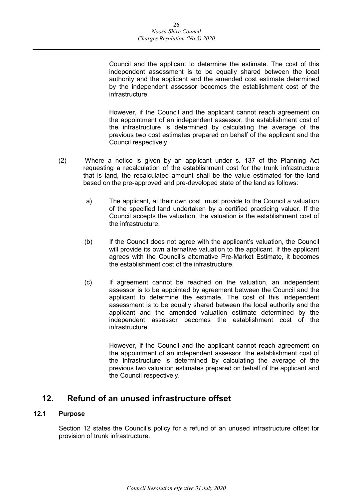Council and the applicant to determine the estimate. The cost of this independent assessment is to be equally shared between the local authority and the applicant and the amended cost estimate determined by the independent assessor becomes the establishment cost of the infrastructure.

However, if the Council and the applicant cannot reach agreement on the appointment of an independent assessor, the establishment cost of the infrastructure is determined by calculating the average of the previous two cost estimates prepared on behalf of the applicant and the Council respectively.

- (2) Where a notice is given by an applicant under s. 137 of the Planning Act requesting a recalculation of the establishment cost for the trunk infrastructure that is land, the recalculated amount shall be the value estimated for the land based on the pre-approved and pre-developed state of the land as follows:
	- a) The applicant, at their own cost, must provide to the Council a valuation of the specified land undertaken by a certified practicing valuer. If the Council accepts the valuation, the valuation is the establishment cost of the infrastructure.
	- (b) If the Council does not agree with the applicant's valuation, the Council will provide its own alternative valuation to the applicant. If the applicant agrees with the Council's alternative Pre-Market Estimate, it becomes the establishment cost of the infrastructure.
	- (c) If agreement cannot be reached on the valuation, an independent assessor is to be appointed by agreement between the Council and the applicant to determine the estimate. The cost of this independent assessment is to be equally shared between the local authority and the applicant and the amended valuation estimate determined by the independent assessor becomes the establishment cost of the infrastructure.

However, if the Council and the applicant cannot reach agreement on the appointment of an independent assessor, the establishment cost of the infrastructure is determined by calculating the average of the previous two valuation estimates prepared on behalf of the applicant and the Council respectively.

## <span id="page-25-0"></span>**12. Refund of an unused infrastructure offset**

#### <span id="page-25-1"></span>**12.1 Purpose**

Section 12 states the Council's policy for a refund of an unused infrastructure offset for provision of trunk infrastructure.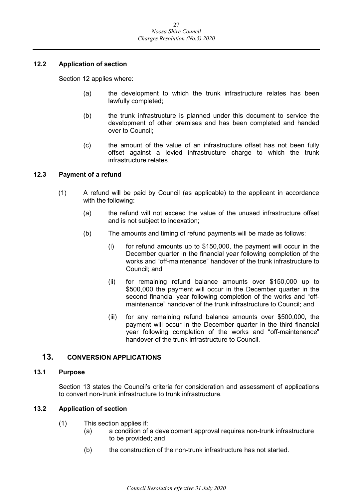#### <span id="page-26-0"></span>**12.2 Application of section**

Section 12 applies where:

- (a) the development to which the trunk infrastructure relates has been lawfully completed;
- (b) the trunk infrastructure is planned under this document to service the development of other premises and has been completed and handed over to Council;
- (c) the amount of the value of an infrastructure offset has not been fully offset against a levied infrastructure charge to which the trunk infrastructure relates.

#### <span id="page-26-1"></span>**12.3 Payment of a refund**

- (1) A refund will be paid by Council (as applicable) to the applicant in accordance with the following:
	- (a) the refund will not exceed the value of the unused infrastructure offset and is not subject to indexation;
	- (b) The amounts and timing of refund payments will be made as follows:
		- (i) for refund amounts up to \$150,000, the payment will occur in the December quarter in the financial year following completion of the works and "off-maintenance" handover of the trunk infrastructure to Council; and
		- (ii) for remaining refund balance amounts over \$150,000 up to \$500,000 the payment will occur in the December quarter in the second financial year following completion of the works and "offmaintenance" handover of the trunk infrastructure to Council; and
		- (iii) for any remaining refund balance amounts over \$500,000, the payment will occur in the December quarter in the third financial year following completion of the works and "off-maintenance" handover of the trunk infrastructure to Council.

#### <span id="page-26-2"></span>**13. CONVERSION APPLICATIONS**

#### <span id="page-26-3"></span>**13.1 Purpose**

Section 13 states the Council's criteria for consideration and assessment of applications to convert non-trunk infrastructure to trunk infrastructure.

#### <span id="page-26-4"></span>**13.2 Application of section**

- (1) This section applies if:
	- (a) a condition of a development approval requires non-trunk infrastructure to be provided; and
	- (b) the construction of the non-trunk infrastructure has not started.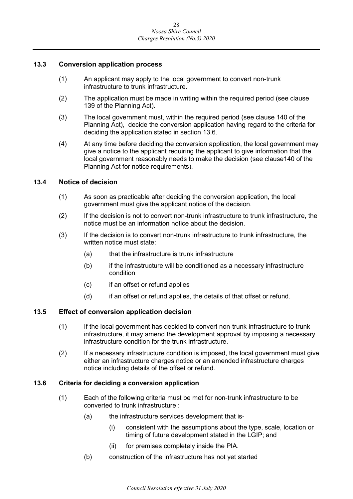#### <span id="page-27-0"></span>**13.3 Conversion application process**

- (1) An applicant may apply to the local government to convert non-trunk infrastructure to trunk infrastructure.
- (2) The application must be made in writing within the required period (see clause 139 of the Planning Act).
- (3) The local government must, within the required period (see clause 140 of the Planning Act), decide the conversion application having regard to the criteria for deciding the application stated in section 13.6.
- (4) At any time before deciding the conversion application, the local government may give a notice to the applicant requiring the applicant to give information that the local government reasonably needs to make the decision (see clause140 of the Planning Act for notice requirements).

#### <span id="page-27-1"></span>**13.4 Notice of decision**

- (1) As soon as practicable after deciding the conversion application, the local government must give the applicant notice of the decision.
- (2) If the decision is not to convert non-trunk infrastructure to trunk infrastructure, the notice must be an information notice about the decision.
- (3) If the decision is to convert non-trunk infrastructure to trunk infrastructure, the written notice must state:
	- (a) that the infrastructure is trunk infrastructure
	- (b) if the infrastructure will be conditioned as a necessary infrastructure condition
	- (c) if an offset or refund applies
	- (d) if an offset or refund applies, the details of that offset or refund.

#### <span id="page-27-2"></span>**13.5 Effect of conversion application decision**

- (1) If the local government has decided to convert non-trunk infrastructure to trunk infrastructure, it may amend the development approval by imposing a necessary infrastructure condition for the trunk infrastructure.
- (2) If a necessary infrastructure condition is imposed, the local government must give either an infrastructure charges notice or an amended infrastructure charges notice including details of the offset or refund.

#### <span id="page-27-3"></span>**13.6 Criteria for deciding a conversion application**

- (1) Each of the following criteria must be met for non-trunk infrastructure to be converted to trunk infrastructure :
	- (a) the infrastructure services development that is-
		- (i) consistent with the assumptions about the type, scale, location or timing of future development stated in the LGIP; and
		- (ii) for premises completely inside the PIA.
	- (b) construction of the infrastructure has not yet started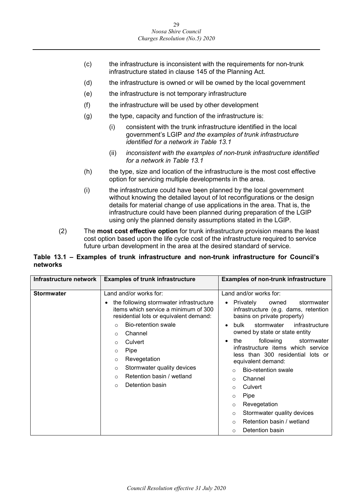- (c) the infrastructure is inconsistent with the requirements for non-trunk infrastructure stated in clause 145 of the Planning Act.
- (d) the infrastructure is owned or will be owned by the local government
- (e) the infrastructure is not temporary infrastructure
- (f) the infrastructure will be used by other development
- $(g)$  the type, capacity and function of the infrastructure is:
	- (i) consistent with the trunk infrastructure identified in the local government's LGIP *and the examples of trunk infrastructure identified for a network in Table 13.1*
	- (ii) *inconsistent with the examples of non-trunk infrastructure identified for a network in Table 13.1*
- (h) the type, size and location of the infrastructure is the most cost effective option for servicing multiple developments in the area.
- (i) the infrastructure could have been planned by the local government without knowing the detailed layout of lot reconfigurations or the design details for material change of use applications in the area. That is, the infrastructure could have been planned during preparation of the LGIP using only the planned density assumptions stated in the LGIP.
- (2) The **most cost effective option** for trunk infrastructure provision means the least cost option based upon the life cycle cost of the infrastructure required to service future urban development in the area at the desired standard of service.

#### **Table 13.1 – Examples of trunk infrastructure and non-trunk infrastructure for Council's networks**

| Infrastructure network | <b>Examples of trunk infrastructure</b>                                                                                                                                                                                                                                                                                                                                                                 | <b>Examples of non-trunk infrastructure</b>                                                                                                                                                                                                                                                                                                                                                                                                                                                                                                                                                                           |
|------------------------|---------------------------------------------------------------------------------------------------------------------------------------------------------------------------------------------------------------------------------------------------------------------------------------------------------------------------------------------------------------------------------------------------------|-----------------------------------------------------------------------------------------------------------------------------------------------------------------------------------------------------------------------------------------------------------------------------------------------------------------------------------------------------------------------------------------------------------------------------------------------------------------------------------------------------------------------------------------------------------------------------------------------------------------------|
| <b>Stormwater</b>      | Land and/or works for:<br>the following stormwater infrastructure<br>items which service a minimum of 300<br>residential lots or equivalent demand:<br><b>Bio-retention swale</b><br>$\Omega$<br>Channel<br>$\circ$<br>Culvert<br>$\circ$<br>Pipe<br>$\circ$<br>Revegetation<br>$\circ$<br>Stormwater quality devices<br>$\circ$<br>Retention basin / wetland<br>$\Omega$<br>Detention basin<br>$\circ$ | Land and/or works for:<br>Privately<br>owned<br>stormwater<br>infrastructure (e.g. dams, retention<br>basins on private property)<br>infrastructure<br>bulk<br>stormwater<br>$\bullet$<br>owned by state or state entity<br>following<br>the<br>stormwater<br>٠<br>infrastructure items which service<br>less than 300 residential lots or<br>equivalent demand:<br><b>Bio-retention swale</b><br>$\Omega$<br>Channel<br>$\circ$<br>Culvert<br>$\Omega$<br>Pipe<br>$\circ$<br>Revegetation<br>$\circ$<br>Stormwater quality devices<br>$\circ$<br>Retention basin / wetland<br>$\circ$<br>Detention basin<br>$\Omega$ |